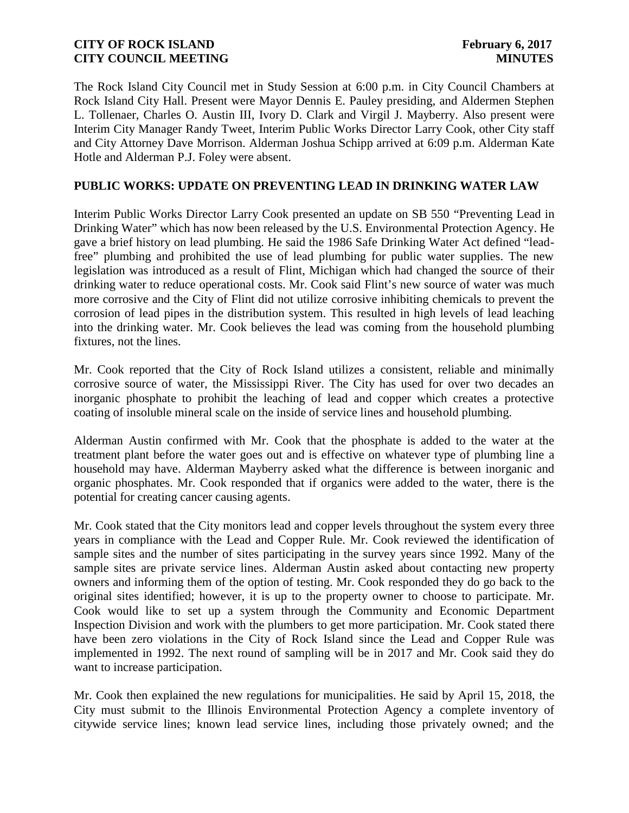The Rock Island City Council met in Study Session at 6:00 p.m. in City Council Chambers at Rock Island City Hall. Present were Mayor Dennis E. Pauley presiding, and Aldermen Stephen L. Tollenaer, Charles O. Austin III, Ivory D. Clark and Virgil J. Mayberry. Also present were Interim City Manager Randy Tweet, Interim Public Works Director Larry Cook, other City staff and City Attorney Dave Morrison. Alderman Joshua Schipp arrived at 6:09 p.m. Alderman Kate Hotle and Alderman P.J. Foley were absent.

### **PUBLIC WORKS: UPDATE ON PREVENTING LEAD IN DRINKING WATER LAW**

Interim Public Works Director Larry Cook presented an update on SB 550 "Preventing Lead in Drinking Water" which has now been released by the U.S. Environmental Protection Agency. He gave a brief history on lead plumbing. He said the 1986 Safe Drinking Water Act defined "leadfree" plumbing and prohibited the use of lead plumbing for public water supplies. The new legislation was introduced as a result of Flint, Michigan which had changed the source of their drinking water to reduce operational costs. Mr. Cook said Flint's new source of water was much more corrosive and the City of Flint did not utilize corrosive inhibiting chemicals to prevent the corrosion of lead pipes in the distribution system. This resulted in high levels of lead leaching into the drinking water. Mr. Cook believes the lead was coming from the household plumbing fixtures, not the lines.

Mr. Cook reported that the City of Rock Island utilizes a consistent, reliable and minimally corrosive source of water, the Mississippi River. The City has used for over two decades an inorganic phosphate to prohibit the leaching of lead and copper which creates a protective coating of insoluble mineral scale on the inside of service lines and household plumbing.

Alderman Austin confirmed with Mr. Cook that the phosphate is added to the water at the treatment plant before the water goes out and is effective on whatever type of plumbing line a household may have. Alderman Mayberry asked what the difference is between inorganic and organic phosphates. Mr. Cook responded that if organics were added to the water, there is the potential for creating cancer causing agents.

Mr. Cook stated that the City monitors lead and copper levels throughout the system every three years in compliance with the Lead and Copper Rule. Mr. Cook reviewed the identification of sample sites and the number of sites participating in the survey years since 1992. Many of the sample sites are private service lines. Alderman Austin asked about contacting new property owners and informing them of the option of testing. Mr. Cook responded they do go back to the original sites identified; however, it is up to the property owner to choose to participate. Mr. Cook would like to set up a system through the Community and Economic Department Inspection Division and work with the plumbers to get more participation. Mr. Cook stated there have been zero violations in the City of Rock Island since the Lead and Copper Rule was implemented in 1992. The next round of sampling will be in 2017 and Mr. Cook said they do want to increase participation.

Mr. Cook then explained the new regulations for municipalities. He said by April 15, 2018, the City must submit to the Illinois Environmental Protection Agency a complete inventory of citywide service lines; known lead service lines, including those privately owned; and the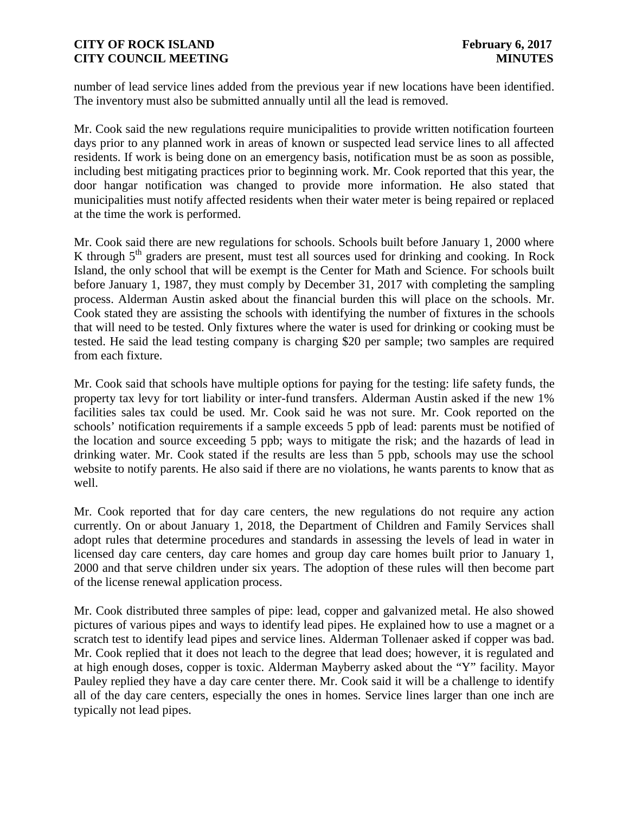number of lead service lines added from the previous year if new locations have been identified. The inventory must also be submitted annually until all the lead is removed.

Mr. Cook said the new regulations require municipalities to provide written notification fourteen days prior to any planned work in areas of known or suspected lead service lines to all affected residents. If work is being done on an emergency basis, notification must be as soon as possible, including best mitigating practices prior to beginning work. Mr. Cook reported that this year, the door hangar notification was changed to provide more information. He also stated that municipalities must notify affected residents when their water meter is being repaired or replaced at the time the work is performed.

Mr. Cook said there are new regulations for schools. Schools built before January 1, 2000 where K through  $5<sup>th</sup>$  graders are present, must test all sources used for drinking and cooking. In Rock Island, the only school that will be exempt is the Center for Math and Science. For schools built before January 1, 1987, they must comply by December 31, 2017 with completing the sampling process. Alderman Austin asked about the financial burden this will place on the schools. Mr. Cook stated they are assisting the schools with identifying the number of fixtures in the schools that will need to be tested. Only fixtures where the water is used for drinking or cooking must be tested. He said the lead testing company is charging \$20 per sample; two samples are required from each fixture.

Mr. Cook said that schools have multiple options for paying for the testing: life safety funds, the property tax levy for tort liability or inter-fund transfers. Alderman Austin asked if the new 1% facilities sales tax could be used. Mr. Cook said he was not sure. Mr. Cook reported on the schools' notification requirements if a sample exceeds 5 ppb of lead: parents must be notified of the location and source exceeding 5 ppb; ways to mitigate the risk; and the hazards of lead in drinking water. Mr. Cook stated if the results are less than 5 ppb, schools may use the school website to notify parents. He also said if there are no violations, he wants parents to know that as well.

Mr. Cook reported that for day care centers, the new regulations do not require any action currently. On or about January 1, 2018, the Department of Children and Family Services shall adopt rules that determine procedures and standards in assessing the levels of lead in water in licensed day care centers, day care homes and group day care homes built prior to January 1, 2000 and that serve children under six years. The adoption of these rules will then become part of the license renewal application process.

Mr. Cook distributed three samples of pipe: lead, copper and galvanized metal. He also showed pictures of various pipes and ways to identify lead pipes. He explained how to use a magnet or a scratch test to identify lead pipes and service lines. Alderman Tollenaer asked if copper was bad. Mr. Cook replied that it does not leach to the degree that lead does; however, it is regulated and at high enough doses, copper is toxic. Alderman Mayberry asked about the "Y" facility. Mayor Pauley replied they have a day care center there. Mr. Cook said it will be a challenge to identify all of the day care centers, especially the ones in homes. Service lines larger than one inch are typically not lead pipes.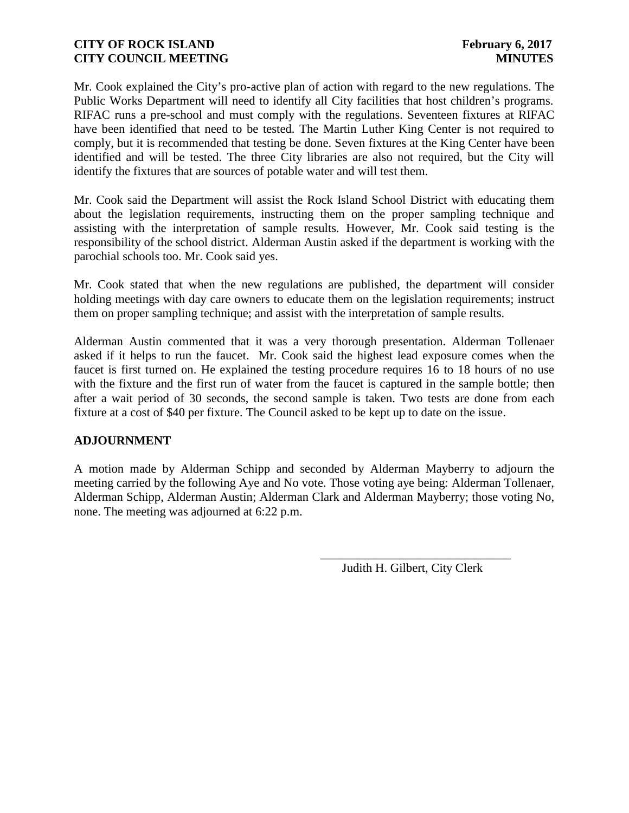Mr. Cook explained the City's pro-active plan of action with regard to the new regulations. The Public Works Department will need to identify all City facilities that host children's programs. RIFAC runs a pre-school and must comply with the regulations. Seventeen fixtures at RIFAC have been identified that need to be tested. The Martin Luther King Center is not required to comply, but it is recommended that testing be done. Seven fixtures at the King Center have been identified and will be tested. The three City libraries are also not required, but the City will identify the fixtures that are sources of potable water and will test them.

Mr. Cook said the Department will assist the Rock Island School District with educating them about the legislation requirements, instructing them on the proper sampling technique and assisting with the interpretation of sample results. However, Mr. Cook said testing is the responsibility of the school district. Alderman Austin asked if the department is working with the parochial schools too. Mr. Cook said yes.

Mr. Cook stated that when the new regulations are published, the department will consider holding meetings with day care owners to educate them on the legislation requirements; instruct them on proper sampling technique; and assist with the interpretation of sample results.

Alderman Austin commented that it was a very thorough presentation. Alderman Tollenaer asked if it helps to run the faucet. Mr. Cook said the highest lead exposure comes when the faucet is first turned on. He explained the testing procedure requires 16 to 18 hours of no use with the fixture and the first run of water from the faucet is captured in the sample bottle; then after a wait period of 30 seconds, the second sample is taken. Two tests are done from each fixture at a cost of \$40 per fixture. The Council asked to be kept up to date on the issue.

# **ADJOURNMENT**

A motion made by Alderman Schipp and seconded by Alderman Mayberry to adjourn the meeting carried by the following Aye and No vote. Those voting aye being: Alderman Tollenaer, Alderman Schipp, Alderman Austin; Alderman Clark and Alderman Mayberry; those voting No, none. The meeting was adjourned at 6:22 p.m.

Judith H. Gilbert, City Clerk

\_\_\_\_\_\_\_\_\_\_\_\_\_\_\_\_\_\_\_\_\_\_\_\_\_\_\_\_\_\_\_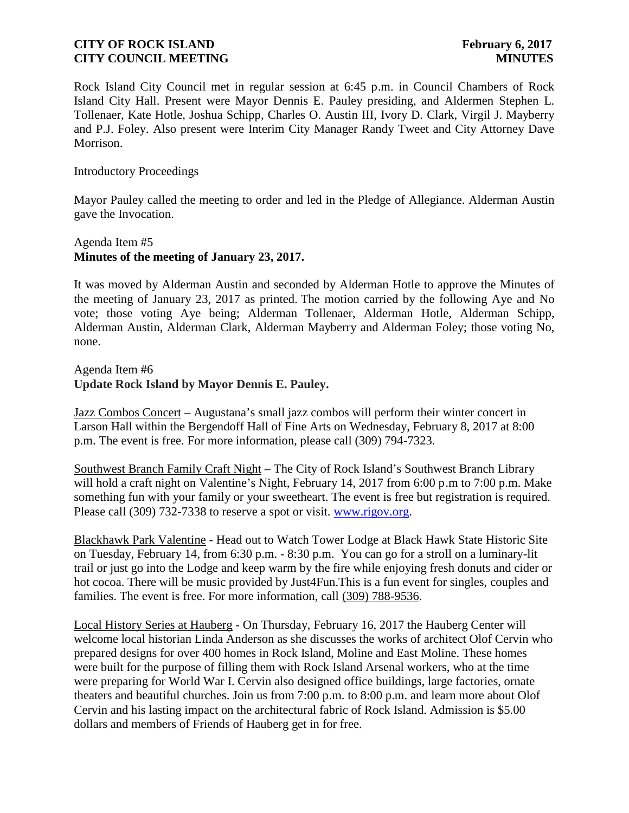Rock Island City Council met in regular session at 6:45 p.m. in Council Chambers of Rock Island City Hall. Present were Mayor Dennis E. Pauley presiding, and Aldermen Stephen L. Tollenaer, Kate Hotle, Joshua Schipp, Charles O. Austin III, Ivory D. Clark, Virgil J. Mayberry and P.J. Foley. Also present were Interim City Manager Randy Tweet and City Attorney Dave Morrison.

Introductory Proceedings

Mayor Pauley called the meeting to order and led in the Pledge of Allegiance. Alderman Austin gave the Invocation.

## Agenda Item #5 **Minutes of the meeting of January 23, 2017.**

It was moved by Alderman Austin and seconded by Alderman Hotle to approve the Minutes of the meeting of January 23, 2017 as printed. The motion carried by the following Aye and No vote; those voting Aye being; Alderman Tollenaer, Alderman Hotle, Alderman Schipp, Alderman Austin, Alderman Clark, Alderman Mayberry and Alderman Foley; those voting No, none.

#### Agenda Item #6 **Update Rock Island by Mayor Dennis E. Pauley.**

Jazz Combos Concert – Augustana's small jazz combos will perform their winter concert in Larson Hall within the Bergendoff Hall of Fine Arts on Wednesday, February 8, 2017 at 8:00 p.m. The event is free. For more information, please call (309) 794-7323.

Southwest Branch Family Craft Night – The City of Rock Island's Southwest Branch Library will hold a craft night on Valentine's Night, February 14, 2017 from 6:00 p.m to 7:00 p.m. Make something fun with your family or your sweetheart. The event is free but registration is required. Please call (309) 732-7338 to reserve a spot or visit. www.rigov.org.

Blackhawk Park Valentine - Head out to Watch Tower Lodge at Black Hawk State Historic Site on Tuesday, February 14, from 6:30 p.m. - 8:30 p.m. You can go for a stroll on a luminary-lit trail or just go into the Lodge and keep warm by the fire while enjoying fresh donuts and cider or hot cocoa. There will be music provided by Just4Fun.This is a fun event for singles, couples and families. The event is free. For more information, call (309) 788-9536.

Local History Series at Hauberg - On Thursday, February 16, 2017 the Hauberg Center will welcome local historian Linda Anderson as she discusses the works of architect Olof Cervin who prepared designs for over 400 homes in Rock Island, Moline and East Moline. These homes were built for the purpose of filling them with Rock Island Arsenal workers, who at the time were preparing for World War I. Cervin also designed office buildings, large factories, ornate theaters and beautiful churches. Join us from 7:00 p.m. to 8:00 p.m. and learn more about Olof Cervin and his lasting impact on the architectural fabric of Rock Island. Admission is \$5.00 dollars and members of Friends of Hauberg get in for free.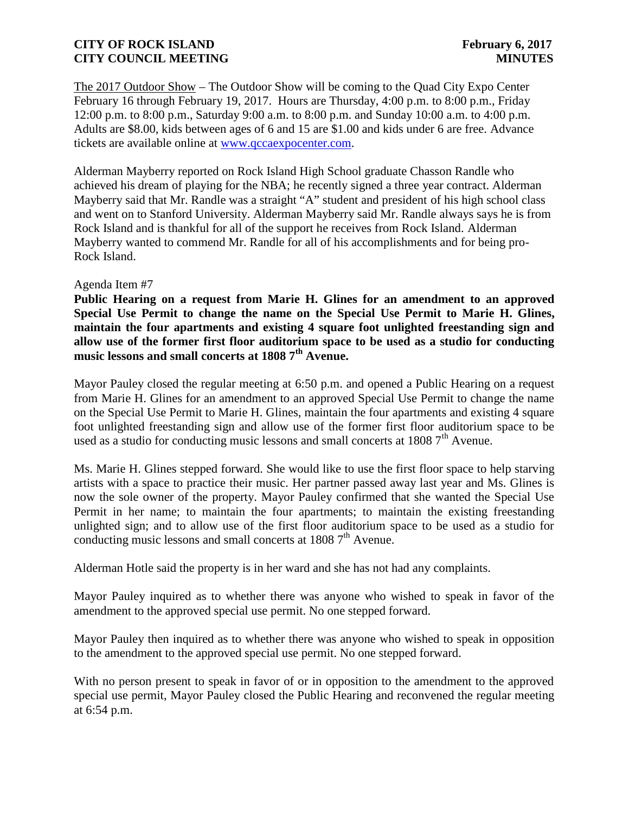The 2017 Outdoor Show – The Outdoor Show will be coming to the Quad City Expo Center February 16 through February 19, 2017. Hours are Thursday, 4:00 p.m. to 8:00 p.m., Friday 12:00 p.m. to 8:00 p.m., Saturday 9:00 a.m. to 8:00 p.m. and Sunday 10:00 a.m. to 4:00 p.m. Adults are \$8.00, kids between ages of 6 and 15 are \$1.00 and kids under 6 are free. Advance tickets are available online at www.qccaexpocenter.com.

Alderman Mayberry reported on Rock Island High School graduate Chasson Randle who achieved his dream of playing for the NBA; he recently signed a three year contract. Alderman Mayberry said that Mr. Randle was a straight "A" student and president of his high school class and went on to Stanford University. Alderman Mayberry said Mr. Randle always says he is from Rock Island and is thankful for all of the support he receives from Rock Island. Alderman Mayberry wanted to commend Mr. Randle for all of his accomplishments and for being pro- Rock Island.

#### Agenda Item #7

**Public Hearing on a request from Marie H. Glines for an amendment to an approved Special Use Permit to change the name on the Special Use Permit to Marie H. Glines, maintain the four apartments and existing 4 square foot unlighted freestanding sign and allow use of the former first floor auditorium space to be used as a studio for conducting music lessons and small concerts at 1808 7th Avenue.**

Mayor Pauley closed the regular meeting at 6:50 p.m. and opened a Public Hearing on a request from Marie H. Glines for an amendment to an approved Special Use Permit to change the name on the Special Use Permit to Marie H. Glines, maintain the four apartments and existing 4 square foot unlighted freestanding sign and allow use of the former first floor auditorium space to be used as a studio for conducting music lessons and small concerts at  $18087<sup>th</sup>$  Avenue.

Ms. Marie H. Glines stepped forward. She would like to use the first floor space to help starving artists with a space to practice their music. Her partner passed away last year and Ms. Glines is now the sole owner of the property. Mayor Pauley confirmed that she wanted the Special Use Permit in her name; to maintain the four apartments; to maintain the existing freestanding unlighted sign; and to allow use of the first floor auditorium space to be used as a studio for conducting music lessons and small concerts at  $18087<sup>th</sup>$  Avenue.

Alderman Hotle said the property is in her ward and she has not had any complaints.

Mayor Pauley inquired as to whether there was anyone who wished to speak in favor of the amendment to the approved special use permit. No one stepped forward.

Mayor Pauley then inquired as to whether there was anyone who wished to speak in opposition to the amendment to the approved special use permit. No one stepped forward.

With no person present to speak in favor of or in opposition to the amendment to the approved special use permit, Mayor Pauley closed the Public Hearing and reconvened the regular meeting at 6:54 p.m.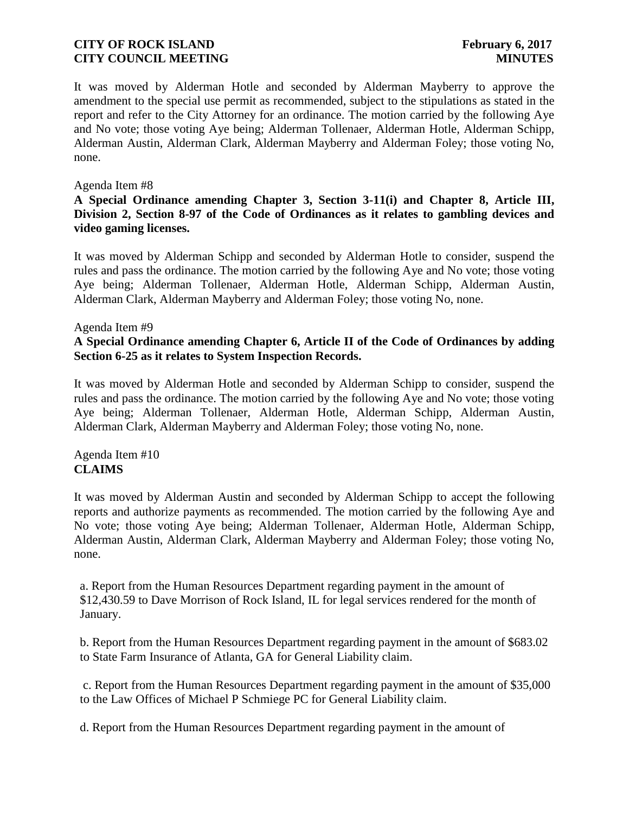It was moved by Alderman Hotle and seconded by Alderman Mayberry to approve the amendment to the special use permit as recommended, subject to the stipulations as stated in the report and refer to the City Attorney for an ordinance. The motion carried by the following Aye and No vote; those voting Aye being; Alderman Tollenaer, Alderman Hotle, Alderman Schipp, Alderman Austin, Alderman Clark, Alderman Mayberry and Alderman Foley; those voting No, none.

#### Agenda Item #8

### **A Special Ordinance amending Chapter 3, Section 3-11(i) and Chapter 8, Article III, Division 2, Section 8-97 of the Code of Ordinances as it relates to gambling devices and video gaming licenses.**

It was moved by Alderman Schipp and seconded by Alderman Hotle to consider, suspend the rules and pass the ordinance. The motion carried by the following Aye and No vote; those voting Aye being; Alderman Tollenaer, Alderman Hotle, Alderman Schipp, Alderman Austin, Alderman Clark, Alderman Mayberry and Alderman Foley; those voting No, none.

#### Agenda Item #9

## **A Special Ordinance amending Chapter 6, Article II of the Code of Ordinances by adding Section 6-25 as it relates to System Inspection Records.**

It was moved by Alderman Hotle and seconded by Alderman Schipp to consider, suspend the rules and pass the ordinance. The motion carried by the following Aye and No vote; those voting Aye being; Alderman Tollenaer, Alderman Hotle, Alderman Schipp, Alderman Austin, Alderman Clark, Alderman Mayberry and Alderman Foley; those voting No, none.

### Agenda Item #10 **CLAIMS**

It was moved by Alderman Austin and seconded by Alderman Schipp to accept the following reports and authorize payments as recommended. The motion carried by the following Aye and No vote; those voting Aye being; Alderman Tollenaer, Alderman Hotle, Alderman Schipp, Alderman Austin, Alderman Clark, Alderman Mayberry and Alderman Foley; those voting No, none.

a. Report from the Human Resources Department regarding payment in the amount of \$12,430.59 to Dave Morrison of Rock Island, IL for legal services rendered for the month of January.

b. Report from the Human Resources Department regarding payment in the amount of \$683.02 to State Farm Insurance of Atlanta, GA for General Liability claim.

c. Report from the Human Resources Department regarding payment in the amount of \$35,000 to the Law Offices of Michael P Schmiege PC for General Liability claim.

d. Report from the Human Resources Department regarding payment in the amount of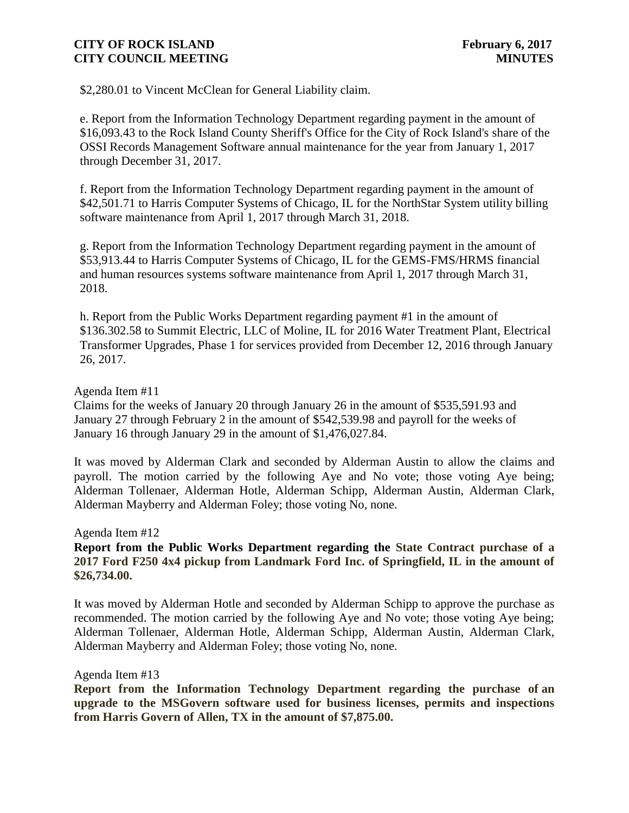\$2,280.01 to Vincent McClean for General Liability claim.

e. Report from the Information Technology Department regarding payment in the amount of \$16,093.43 to the Rock Island County Sheriff's Office for the City of Rock Island's share of the OSSI Records Management Software annual maintenance for the year from January 1, 2017 through December 31, 2017.

f. Report from the Information Technology Department regarding payment in the amount of \$42,501.71 to Harris Computer Systems of Chicago, IL for the NorthStar System utility billing software maintenance from April 1, 2017 through March 31, 2018.

g. Report from the Information Technology Department regarding payment in the amount of \$53,913.44 to Harris Computer Systems of Chicago, IL for the GEMS-FMS/HRMS financial and human resources systems software maintenance from April 1, 2017 through March 31, 2018.

h. Report from the Public Works Department regarding payment #1 in the amount of \$136.302.58 to Summit Electric, LLC of Moline, IL for 2016 Water Treatment Plant, Electrical Transformer Upgrades, Phase 1 for services provided from December 12, 2016 through January 26, 2017.

#### Agenda Item #11

Claims for the weeks of January 20 through January 26 in the amount of \$535,591.93 and January 27 through February 2 in the amount of \$542,539.98 and payroll for the weeks of January 16 through January 29 in the amount of \$1,476,027.84.

It was moved by Alderman Clark and seconded by Alderman Austin to allow the claims and payroll. The motion carried by the following Aye and No vote; those voting Aye being; Alderman Tollenaer, Alderman Hotle, Alderman Schipp, Alderman Austin, Alderman Clark, Alderman Mayberry and Alderman Foley; those voting No, none.

Agenda Item #12

# **Report from the Public Works Department regarding the State Contract purchase of a 2017 Ford F250 4x4 pickup from Landmark Ford Inc. of Springfield, IL in the amount of \$26,734.00.**

It was moved by Alderman Hotle and seconded by Alderman Schipp to approve the purchase as recommended. The motion carried by the following Aye and No vote; those voting Aye being; Alderman Tollenaer, Alderman Hotle, Alderman Schipp, Alderman Austin, Alderman Clark, Alderman Mayberry and Alderman Foley; those voting No, none.

#### Agenda Item #13

**Report from the Information Technology Department regarding the purchase of an upgrade to the MSGovern software used for business licenses, permits and inspections from Harris Govern of Allen, TX in the amount of \$7,875.00.**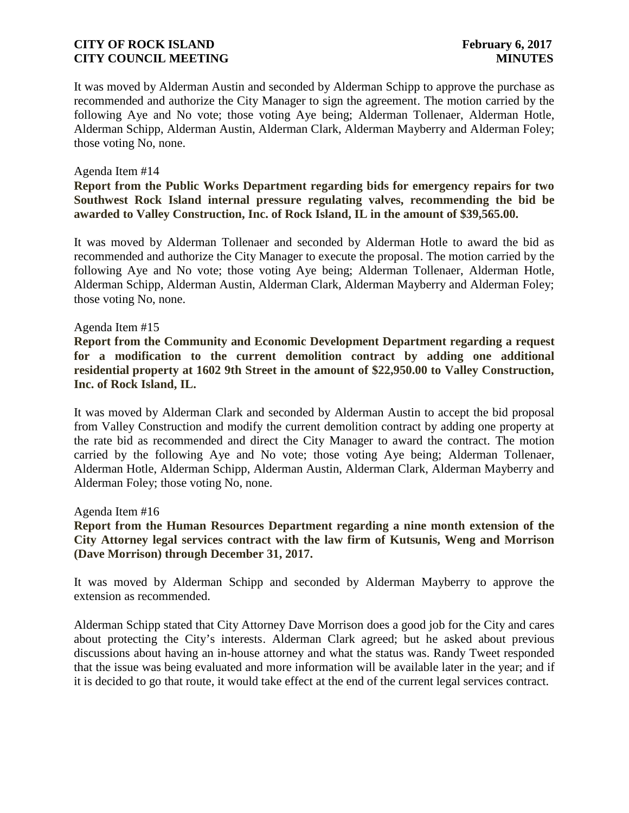It was moved by Alderman Austin and seconded by Alderman Schipp to approve the purchase as recommended and authorize the City Manager to sign the agreement. The motion carried by the following Aye and No vote; those voting Aye being; Alderman Tollenaer, Alderman Hotle, Alderman Schipp, Alderman Austin, Alderman Clark, Alderman Mayberry and Alderman Foley; those voting No, none.

#### Agenda Item #14

**Report from the Public Works Department regarding bids for emergency repairs for two Southwest Rock Island internal pressure regulating valves, recommending the bid be awarded to Valley Construction, Inc. of Rock Island, IL in the amount of \$39,565.00.**

It was moved by Alderman Tollenaer and seconded by Alderman Hotle to award the bid as recommended and authorize the City Manager to execute the proposal. The motion carried by the following Aye and No vote; those voting Aye being; Alderman Tollenaer, Alderman Hotle, Alderman Schipp, Alderman Austin, Alderman Clark, Alderman Mayberry and Alderman Foley; those voting No, none.

#### Agenda Item #15

**Report from the Community and Economic Development Department regarding a request for a modification to the current demolition contract by adding one additional residential property at 1602 9th Street in the amount of \$22,950.00 to Valley Construction, Inc. of Rock Island, IL.**

It was moved by Alderman Clark and seconded by Alderman Austin to accept the bid proposal from Valley Construction and modify the current demolition contract by adding one property at the rate bid as recommended and direct the City Manager to award the contract. The motion carried by the following Aye and No vote; those voting Aye being; Alderman Tollenaer, Alderman Hotle, Alderman Schipp, Alderman Austin, Alderman Clark, Alderman Mayberry and Alderman Foley; those voting No, none.

Agenda Item #16

**Report from the Human Resources Department regarding a nine month extension of the City Attorney legal services contract with the law firm of Kutsunis, Weng and Morrison (Dave Morrison) through December 31, 2017.**

It was moved by Alderman Schipp and seconded by Alderman Mayberry to approve the extension as recommended.

Alderman Schipp stated that City Attorney Dave Morrison does a good job for the City and cares about protecting the City's interests. Alderman Clark agreed; but he asked about previous discussions about having an in-house attorney and what the status was. Randy Tweet responded that the issue was being evaluated and more information will be available later in the year; and if it is decided to go that route, it would take effect at the end of the current legal services contract.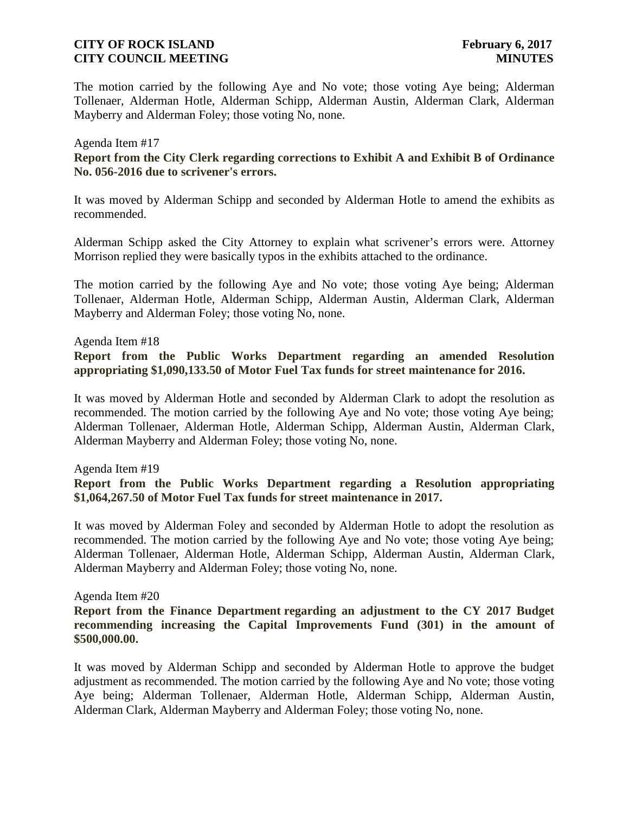The motion carried by the following Aye and No vote; those voting Aye being; Alderman Tollenaer, Alderman Hotle, Alderman Schipp, Alderman Austin, Alderman Clark, Alderman Mayberry and Alderman Foley; those voting No, none.

## Agenda Item #17 **Report from the City Clerk regarding corrections to Exhibit A and Exhibit B of Ordinance No. 056-2016 due to scrivener's errors.**

It was moved by Alderman Schipp and seconded by Alderman Hotle to amend the exhibits as recommended.

Alderman Schipp asked the City Attorney to explain what scrivener's errors were. Attorney Morrison replied they were basically typos in the exhibits attached to the ordinance.

The motion carried by the following Aye and No vote; those voting Aye being; Alderman Tollenaer, Alderman Hotle, Alderman Schipp, Alderman Austin, Alderman Clark, Alderman Mayberry and Alderman Foley; those voting No, none.

Agenda Item #18

#### **Report from the Public Works Department regarding an amended Resolution appropriating \$1,090,133.50 of Motor Fuel Tax funds for street maintenance for 2016.**

It was moved by Alderman Hotle and seconded by Alderman Clark to adopt the resolution as recommended. The motion carried by the following Aye and No vote; those voting Aye being; Alderman Tollenaer, Alderman Hotle, Alderman Schipp, Alderman Austin, Alderman Clark, Alderman Mayberry and Alderman Foley; those voting No, none.

Agenda Item #19

### **Report from the Public Works Department regarding a Resolution appropriating \$1,064,267.50 of Motor Fuel Tax funds for street maintenance in 2017.**

It was moved by Alderman Foley and seconded by Alderman Hotle to adopt the resolution as recommended. The motion carried by the following Aye and No vote; those voting Aye being; Alderman Tollenaer, Alderman Hotle, Alderman Schipp, Alderman Austin, Alderman Clark, Alderman Mayberry and Alderman Foley; those voting No, none.

Agenda Item #20

### **Report from the Finance Department regarding an adjustment to the CY 2017 Budget recommending increasing the Capital Improvements Fund (301) in the amount of \$500,000.00.**

It was moved by Alderman Schipp and seconded by Alderman Hotle to approve the budget adjustment as recommended. The motion carried by the following Aye and No vote; those voting Aye being; Alderman Tollenaer, Alderman Hotle, Alderman Schipp, Alderman Austin, Alderman Clark, Alderman Mayberry and Alderman Foley; those voting No, none.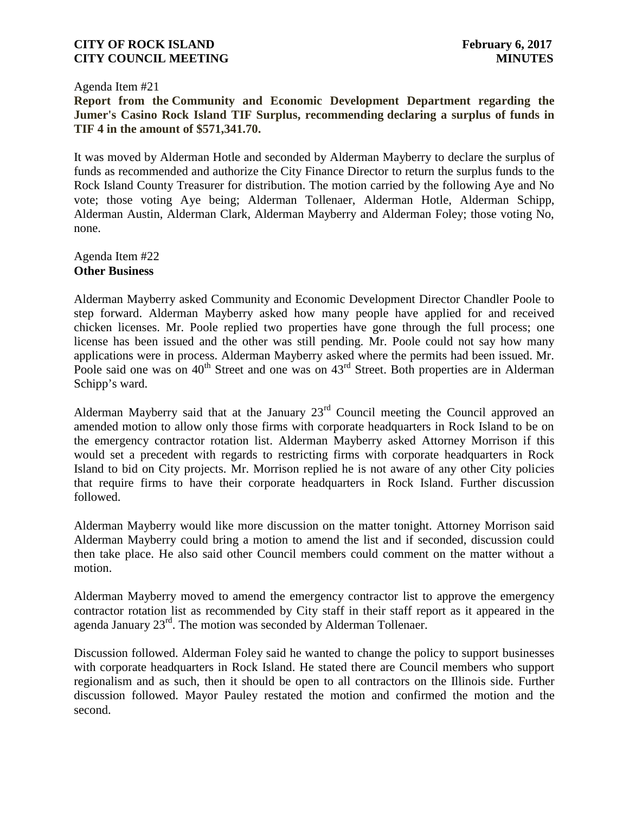Agenda Item #21

**Report from the Community and Economic Development Department regarding the Jumer's Casino Rock Island TIF Surplus, recommending declaring a surplus of funds in TIF 4 in the amount of \$571,341.70.**

It was moved by Alderman Hotle and seconded by Alderman Mayberry to declare the surplus of funds as recommended and authorize the City Finance Director to return the surplus funds to the Rock Island County Treasurer for distribution. The motion carried by the following Aye and No vote; those voting Aye being; Alderman Tollenaer, Alderman Hotle, Alderman Schipp, Alderman Austin, Alderman Clark, Alderman Mayberry and Alderman Foley; those voting No, none.

Agenda Item #22 **Other Business**

Alderman Mayberry asked Community and Economic Development Director Chandler Poole to step forward. Alderman Mayberry asked how many people have applied for and received chicken licenses. Mr. Poole replied two properties have gone through the full process; one license has been issued and the other was still pending. Mr. Poole could not say how many applications were in process. Alderman Mayberry asked where the permits had been issued. Mr. Poole said one was on  $40^{th}$  Street and one was on  $43^{rd}$  Street. Both properties are in Alderman Schipp's ward.

Alderman Mayberry said that at the January  $23<sup>rd</sup>$  Council meeting the Council approved an amended motion to allow only those firms with corporate headquarters in Rock Island to be on the emergency contractor rotation list. Alderman Mayberry asked Attorney Morrison if this would set a precedent with regards to restricting firms with corporate headquarters in Rock Island to bid on City projects. Mr. Morrison replied he is not aware of any other City policies that require firms to have their corporate headquarters in Rock Island. Further discussion followed.

Alderman Mayberry would like more discussion on the matter tonight. Attorney Morrison said Alderman Mayberry could bring a motion to amend the list and if seconded, discussion could then take place. He also said other Council members could comment on the matter without a motion.

Alderman Mayberry moved to amend the emergency contractor list to approve the emergency contractor rotation list as recommended by City staff in their staff report as it appeared in the agenda January 23rd. The motion was seconded by Alderman Tollenaer.

Discussion followed. Alderman Foley said he wanted to change the policy to support businesses with corporate headquarters in Rock Island. He stated there are Council members who support regionalism and as such, then it should be open to all contractors on the Illinois side. Further discussion followed. Mayor Pauley restated the motion and confirmed the motion and the second.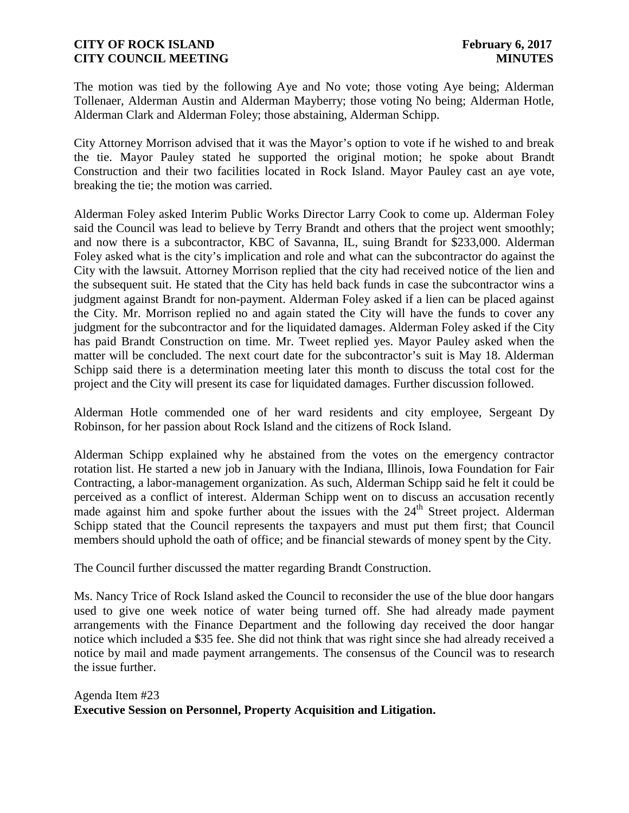The motion was tied by the following Aye and No vote; those voting Aye being; Alderman Tollenaer, Alderman Austin and Alderman Mayberry; those voting No being; Alderman Hotle, Alderman Clark and Alderman Foley; those abstaining, Alderman Schipp.

City Attorney Morrison advised that it was the Mayor's option to vote if he wished to and break the tie. Mayor Pauley stated he supported the original motion; he spoke about Brandt Construction and their two facilities located in Rock Island. Mayor Pauley cast an aye vote, breaking the tie; the motion was carried.

Alderman Foley asked Interim Public Works Director Larry Cook to come up. Alderman Foley said the Council was lead to believe by Terry Brandt and others that the project went smoothly; and now there is a subcontractor, KBC of Savanna, IL, suing Brandt for \$233,000. Alderman Foley asked what is the city's implication and role and what can the subcontractor do against the City with the lawsuit. Attorney Morrison replied that the city had received notice of the lien and the subsequent suit. He stated that the City has held back funds in case the subcontractor wins a judgment against Brandt for non-payment. Alderman Foley asked if a lien can be placed against the City. Mr. Morrison replied no and again stated the City will have the funds to cover any judgment for the subcontractor and for the liquidated damages. Alderman Foley asked if the City has paid Brandt Construction on time. Mr. Tweet replied yes. Mayor Pauley asked when the matter will be concluded. The next court date for the subcontractor's suit is May 18. Alderman Schipp said there is a determination meeting later this month to discuss the total cost for the project and the City will present its case for liquidated damages. Further discussion followed.

Alderman Hotle commended one of her ward residents and city employee, Sergeant Dy Robinson, for her passion about Rock Island and the citizens of Rock Island.

Alderman Schipp explained why he abstained from the votes on the emergency contractor rotation list.He started a new job in January with the Indiana, Illinois, Iowa Foundation for Fair Contracting, a labor-management organization. As such, Alderman Schipp said he felt it could be perceived as a conflict of interest. Alderman Schipp went on to discuss an accusation recently made against him and spoke further about the issues with the  $24<sup>th</sup>$  Street project. Alderman Schipp stated that the Council represents the taxpayers and must put them first; that Council members should uphold the oath of office; and be financial stewards of money spent by the City.

The Council further discussed the matter regarding Brandt Construction.

Ms. Nancy Trice of Rock Island asked the Council to reconsider the use of the blue door hangars used to give one week notice of water being turned off. She had already made payment arrangements with the Finance Department and the following day received the door hangar notice which included a \$35 fee. She did not think that was right since she had already received a notice by mail and made payment arrangements. The consensus of the Council was to research the issue further.

# Agenda Item #23 **Executive Session on Personnel, Property Acquisition and Litigation.**